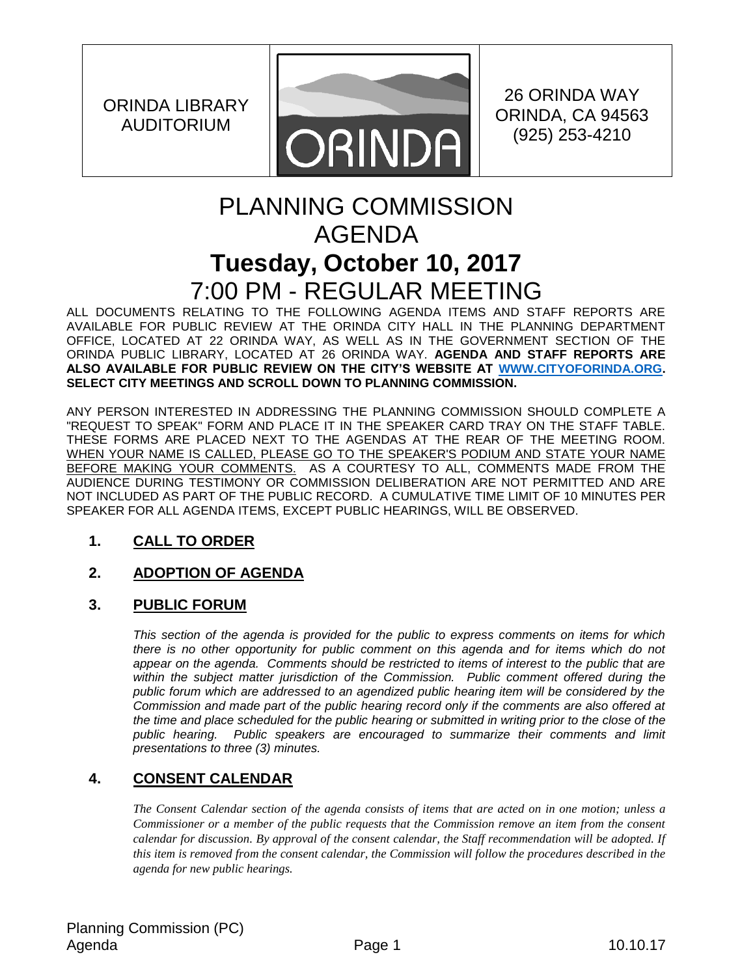ORINDA LIBRARY AUDITORIUM



26 ORINDA WAY ORINDA, CA 94563 (925) 253-4210

# PLANNING COMMISSION AGENDA **Tuesday, October 10, 2017** 7:00 PM - REGULAR MEETING

ALL DOCUMENTS RELATING TO THE FOLLOWING AGENDA ITEMS AND STAFF REPORTS ARE AVAILABLE FOR PUBLIC REVIEW AT THE ORINDA CITY HALL IN THE PLANNING DEPARTMENT OFFICE, LOCATED AT 22 ORINDA WAY, AS WELL AS IN THE GOVERNMENT SECTION OF THE ORINDA PUBLIC LIBRARY, LOCATED AT 26 ORINDA WAY. **AGENDA AND STAFF REPORTS ARE ALSO AVAILABLE FOR PUBLIC REVIEW ON THE CITY'S WEBSITE AT [WWW.CITYOFORINDA.ORG.](http://www.cityoforinda.org/) SELECT CITY MEETINGS AND SCROLL DOWN TO PLANNING COMMISSION.** 

ANY PERSON INTERESTED IN ADDRESSING THE PLANNING COMMISSION SHOULD COMPLETE A "REQUEST TO SPEAK" FORM AND PLACE IT IN THE SPEAKER CARD TRAY ON THE STAFF TABLE. THESE FORMS ARE PLACED NEXT TO THE AGENDAS AT THE REAR OF THE MEETING ROOM. WHEN YOUR NAME IS CALLED, PLEASE GO TO THE SPEAKER'S PODIUM AND STATE YOUR NAME BEFORE MAKING YOUR COMMENTS. AS A COURTESY TO ALL, COMMENTS MADE FROM THE AUDIENCE DURING TESTIMONY OR COMMISSION DELIBERATION ARE NOT PERMITTED AND ARE NOT INCLUDED AS PART OF THE PUBLIC RECORD. A CUMULATIVE TIME LIMIT OF 10 MINUTES PER SPEAKER FOR ALL AGENDA ITEMS, EXCEPT PUBLIC HEARINGS, WILL BE OBSERVED.

# **1. CALL TO ORDER**

# **2. ADOPTION OF AGENDA**

# **3. PUBLIC FORUM**

*This section of the agenda is provided for the public to express comments on items for which there is no other opportunity for public comment on this agenda and for items which do not appear on the agenda. Comments should be restricted to items of interest to the public that are*  within the subject matter jurisdiction of the Commission. Public comment offered during the *public forum which are addressed to an agendized public hearing item will be considered by the Commission and made part of the public hearing record only if the comments are also offered at the time and place scheduled for the public hearing or submitted in writing prior to the close of the public hearing. Public speakers are encouraged to summarize their comments and limit presentations to three (3) minutes.*

# **4. CONSENT CALENDAR**

*The Consent Calendar section of the agenda consists of items that are acted on in one motion; unless a Commissioner or a member of the public requests that the Commission remove an item from the consent calendar for discussion. By approval of the consent calendar, the Staff recommendation will be adopted. If this item is removed from the consent calendar, the Commission will follow the procedures described in the agenda for new public hearings.*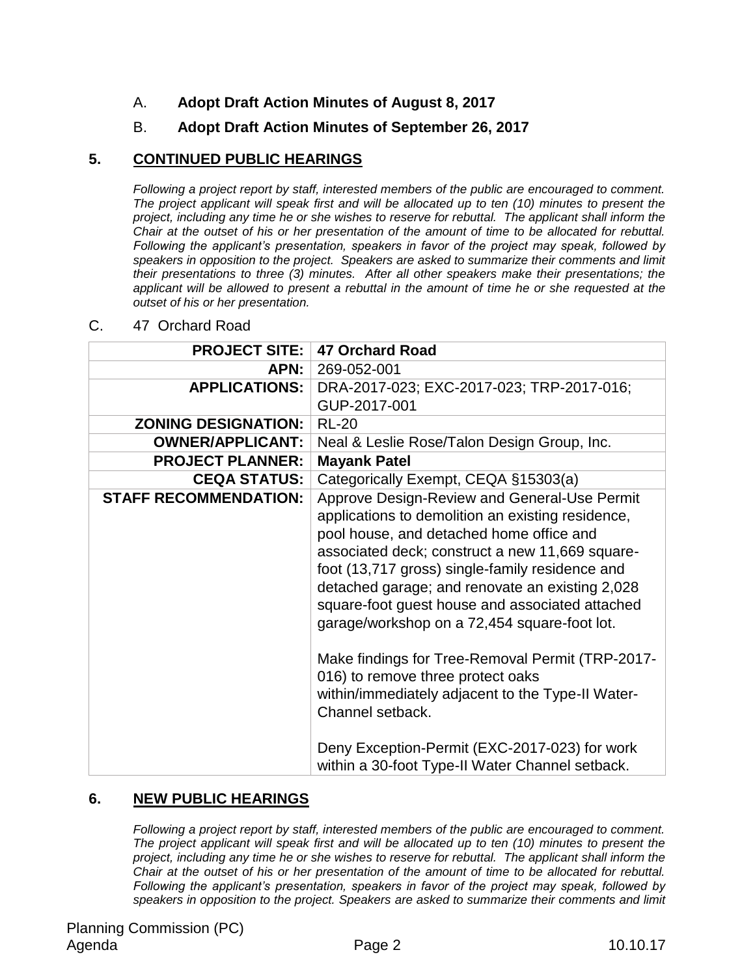## A. **Adopt Draft Action Minutes of August 8, 2017**

## B. **Adopt Draft Action Minutes of September 26, 2017**

### **5. CONTINUED PUBLIC HEARINGS**

*Following a project report by staff, interested members of the public are encouraged to comment. The project applicant will speak first and will be allocated up to ten (10) minutes to present the project, including any time he or she wishes to reserve for rebuttal. The applicant shall inform the Chair at the outset of his or her presentation of the amount of time to be allocated for rebuttal. Following the applicant's presentation, speakers in favor of the project may speak, followed by speakers in opposition to the project. Speakers are asked to summarize their comments and limit their presentations to three (3) minutes. After all other speakers make their presentations; the applicant will be allowed to present a rebuttal in the amount of time he or she requested at the outset of his or her presentation.*

| <b>PROJECT SITE:</b>         | <b>47 Orchard Road</b>                                                                                                                                                                                                                                                                                                                                                                                                                                                                                                                                                                                                                                                          |
|------------------------------|---------------------------------------------------------------------------------------------------------------------------------------------------------------------------------------------------------------------------------------------------------------------------------------------------------------------------------------------------------------------------------------------------------------------------------------------------------------------------------------------------------------------------------------------------------------------------------------------------------------------------------------------------------------------------------|
| APN: I                       | 269-052-001                                                                                                                                                                                                                                                                                                                                                                                                                                                                                                                                                                                                                                                                     |
| <b>APPLICATIONS:</b>         | DRA-2017-023; EXC-2017-023; TRP-2017-016;                                                                                                                                                                                                                                                                                                                                                                                                                                                                                                                                                                                                                                       |
|                              | GUP-2017-001                                                                                                                                                                                                                                                                                                                                                                                                                                                                                                                                                                                                                                                                    |
| <b>ZONING DESIGNATION:</b>   | <b>RL-20</b>                                                                                                                                                                                                                                                                                                                                                                                                                                                                                                                                                                                                                                                                    |
| <b>OWNER/APPLICANT:</b>      | Neal & Leslie Rose/Talon Design Group, Inc.                                                                                                                                                                                                                                                                                                                                                                                                                                                                                                                                                                                                                                     |
| <b>PROJECT PLANNER:</b>      | <b>Mayank Patel</b>                                                                                                                                                                                                                                                                                                                                                                                                                                                                                                                                                                                                                                                             |
| <b>CEQA STATUS:</b>          | Categorically Exempt, CEQA §15303(a)                                                                                                                                                                                                                                                                                                                                                                                                                                                                                                                                                                                                                                            |
| <b>STAFF RECOMMENDATION:</b> | Approve Design-Review and General-Use Permit<br>applications to demolition an existing residence,<br>pool house, and detached home office and<br>associated deck; construct a new 11,669 square-<br>foot (13,717 gross) single-family residence and<br>detached garage; and renovate an existing 2,028<br>square-foot guest house and associated attached<br>garage/workshop on a 72,454 square-foot lot.<br>Make findings for Tree-Removal Permit (TRP-2017-<br>016) to remove three protect oaks<br>within/immediately adjacent to the Type-II Water-<br>Channel setback.<br>Deny Exception-Permit (EXC-2017-023) for work<br>within a 30-foot Type-II Water Channel setback. |

#### C. 47 Orchard Road

## **6. NEW PUBLIC HEARINGS**

*Following a project report by staff, interested members of the public are encouraged to comment. The project applicant will speak first and will be allocated up to ten (10) minutes to present the project, including any time he or she wishes to reserve for rebuttal. The applicant shall inform the Chair at the outset of his or her presentation of the amount of time to be allocated for rebuttal. Following the applicant's presentation, speakers in favor of the project may speak, followed by speakers in opposition to the project. Speakers are asked to summarize their comments and limit*